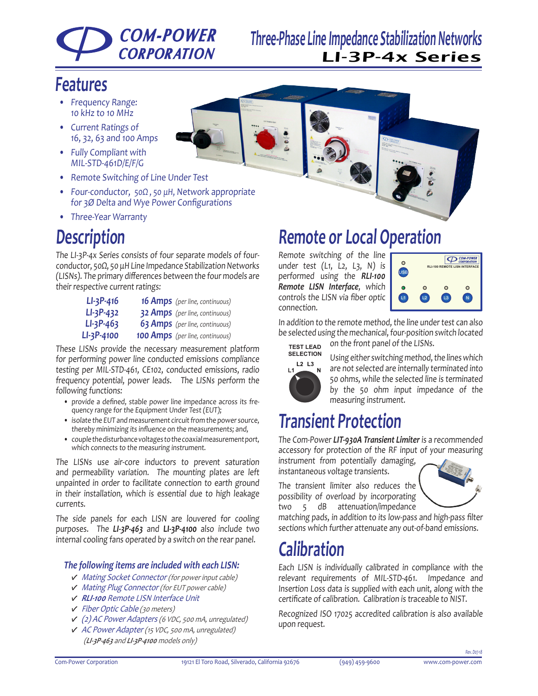## **COM-POWER CORPORATION**

## **Three-Phase Line Impedance Stabilization Networks** LI-3P-4x Series

## **Features**

- Frequency Range: 10 kHz to 10 MHz
- • Current Ratings of 16, 32, 63 and <sup>100</sup> Amps
- • Fully Compliant with MIL-STD-461D/E/F/G
- • Remote Switching of Line Under Test
- Four-conductor, 50Ω, 50 μH, Network appropriate for 3Ø Delta and Wye Power Configurations
- • Three-Year Warranty

## **Description**

The LI-3P-4x Series consists of four separate models of fourconductor, 50Ω, 50 μH Line Impedance Stabilization Networks (LISNs). The primary differences between the four models are their respective current ratings:

| $LI-3P-416$     | <b>16 Amps</b> (per line, continuous)  |
|-----------------|----------------------------------------|
| $LI - 3P - 432$ | <b>32 Amps</b> (per line, continuous)  |
| $LI-3P-463$     | <b>63 Amps</b> (per line, continuous)  |
| LI-3P-4100      | <b>100 Amps</b> (per line, continuous) |

These LISNs provide the necessary measurement platform for performing power line conducted emissions compliance testing per MIL-STD-461, CE102, conducted emissions, radio frequency potential, power leads. The LISNs perform the following functions:

- provide a defined, stable power line impedance across its frequency range for the Equipment Under Test (EUT);
- isolate the EUT and measurement circuit from the power source, thereby minimizing its influence on the measurements; and,
- • couplethedisturbancevoltagestothecoaxialmeasurementport, which connects to the measuring instrument.

The LISNs use air-core inductors to prevent saturation and permeability variation. The mounting plates are left unpainted in order to facilitate connection to earth ground in their installation, which is essential due to high leakage currents.

The side panels for each LISN are louvered for cooling purposes. The *LI-3P-463* and **LI-3P-4100** also include two internal cooling fans operated by <sup>a</sup> switch on the rear panel.

### *The following items are included with each LISN:*

- Mating Socket Connector (for power input cable)
- Mating Plug Connector (for EUT power cable)
- *RLI-100* Remote LISN Interface Unit
- Fiber Optic Cable (30 meters)
- (2) AC Power Adapters (6 VDC, <sup>500</sup> mA, unregulated)
- AC Power Adapter (15 VDC, <sup>500</sup> mA, unregulated) (*LI-3P-463* and *LI-3P-4100* models only)





## **Remote or Local Operation**

Remote switching of the line under test  $(L1, L2, L3, N)$  is performed using the *RLI-100 Remote LISN Interface*, which controls the LISN via fiber optic connection.



In addition to the remote method, the line under test can also be selected using the mechanical, four-position switch located on the front panel of the LISNs. **TEST LEAD**



Using either switching method, the lines which are not selected are internally terminated into 50 ohms, while the selected line is terminated by the 50 ohm input impedance of the measuring instrument.

# **Transient Protection**

The Com-Power *LIT-930A Transient Limiter* is <sup>a</sup> recommended accessory for protection of the RF input of your measuring instrument from potentially damaging,

instantaneous voltage transients. The transient limiter also reduces the

possibility of overload by incorporating two 5 dB attenuation/impedance



matching pads, in addition to its low-pass and high-pass filter sections which further attenuate any out-of-band emissions.

# **Calibration**

Each LISN is individually calibrated in compliance with the relevant requirements of MIL-STD-461. Impedance and Insertion Loss data is supplied with each unit, along with the certificate of calibration. Calibration is traceable to NIST.

Recognized ISO 17025 accredited calibration is also available upon request.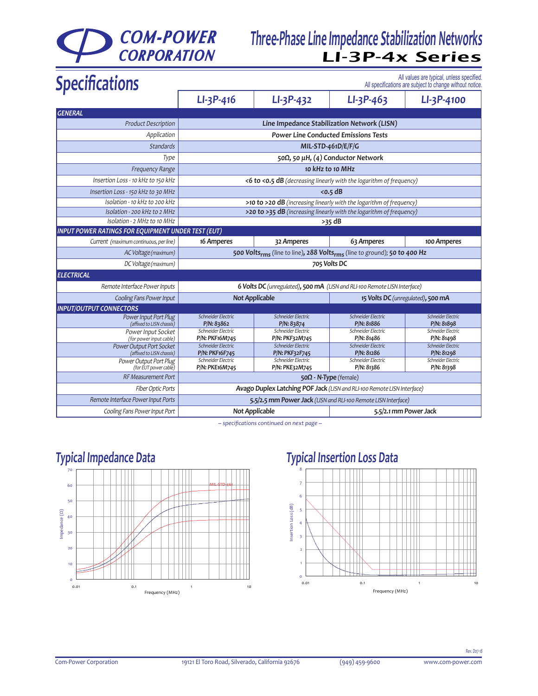# **COM-POWER**<br>**CORPORATION**

## **Three-Phase Line Impedance Stabilization Networks** LI-3P-4x Series

| <b>Specifications</b>                                     | All values are typical, unless specified<br>All specifications are subject to change without notice |                                                                                                  |                                             |                                  |  |
|-----------------------------------------------------------|-----------------------------------------------------------------------------------------------------|--------------------------------------------------------------------------------------------------|---------------------------------------------|----------------------------------|--|
|                                                           | $LI-3P-416$                                                                                         | $LI - 3P - 432$                                                                                  | $LI-3P-463$                                 | LI-3P-4100                       |  |
| <b>GENERAL</b>                                            |                                                                                                     |                                                                                                  |                                             |                                  |  |
| <b>Product Description</b>                                |                                                                                                     |                                                                                                  | Line Impedance Stabilization Network (LISN) |                                  |  |
| Application                                               | <b>Power Line Conducted Emissions Tests</b>                                                         |                                                                                                  |                                             |                                  |  |
| <b>Standards</b>                                          | MIL-STD-461D/E/F/G                                                                                  |                                                                                                  |                                             |                                  |  |
| Type                                                      | 50Ω, 50 μH, (4) Conductor Network                                                                   |                                                                                                  |                                             |                                  |  |
| <b>Frequency Range</b>                                    | 10 kHz to 10 MHz                                                                                    |                                                                                                  |                                             |                                  |  |
| Insertion Loss - 10 kHz to 150 kHz                        | <6 to <0.5 dB (decreasing linearly with the logarithm of frequency)                                 |                                                                                                  |                                             |                                  |  |
| Insertion Loss - 150 kHz to 30 MHz                        | $<$ 0.5 dB                                                                                          |                                                                                                  |                                             |                                  |  |
| Isolation - 10 kHz to 200 kHz                             | >10 to >20 dB (increasing linearly with the logarithm of frequency)                                 |                                                                                                  |                                             |                                  |  |
| Isolation - 200 kHz to 2 MHz                              | >20 to >35 dB (increasing linearly with the logarithm of frequency)                                 |                                                                                                  |                                             |                                  |  |
| Isolation - 2 MHz to 10 MHz                               | $>35$ dB                                                                                            |                                                                                                  |                                             |                                  |  |
| <b>INPUT POWER RATINGS FOR EQUIPMENT UNDER TEST (EUT)</b> |                                                                                                     |                                                                                                  |                                             |                                  |  |
| Current (maximum continuous, per line)                    | 16 Amperes                                                                                          | 32 Amperes                                                                                       | 63 Amperes                                  | 100 Amperes                      |  |
| AC Voltage (maximum)                                      |                                                                                                     | 500 Volts <sub>rms</sub> (line to line), 288 Volts <sub>rms</sub> (line to ground); 50 to 400 Hz |                                             |                                  |  |
| DC Voltage (maximum)                                      |                                                                                                     |                                                                                                  | 705 Volts DC                                |                                  |  |
| <b>ELECTRICAL</b>                                         |                                                                                                     |                                                                                                  |                                             |                                  |  |
| Remote Interface Power Inputs                             |                                                                                                     | 6 Volts DC (unregulated), 500 mA (LISN and RLI-100 Remote LISN Interface)                        |                                             |                                  |  |
| Cooling Fans Power Input                                  | <b>Not Applicable</b>                                                                               |                                                                                                  | 15 Volts DC (unregulated), 500 mA           |                                  |  |
| <b>INPUT/OUTPUT CONNECTORS</b>                            |                                                                                                     |                                                                                                  |                                             |                                  |  |
| Power Input Port Plug<br>(affixed to LISN chassis)        | Schneider Electric<br>P/N: 83862                                                                    | Schneider Electric<br>P/N: 83874                                                                 | Schneider Electric<br>P/N: 81886            | Schneider Electric<br>P/N: 81898 |  |
| Power Input Socket<br>(for power input cable)             | Schneider Electric<br>P/N: PKF16M745                                                                | Schneider Electric<br>P/N: PKF32M745                                                             | Schneider Electric<br>P/N: 81486            | Schneider Electric<br>P/N: 81498 |  |
| Power Output Port Socket<br>(affixed to LISN chassis)     | Schneider Electric<br><b>P/N: PKF16F745</b>                                                         | Schneider Electric<br>P/N: PKF32F745                                                             | Schneider Electric<br>P/N: 81286            | Schneider Electric<br>P/N: 81298 |  |
| Power Output Port Plug<br>(for EUT power cable)           | Schneider Electric<br>P/N: PKE16M745                                                                | Schneider Electric<br>P/N: PKE32M745                                                             | Schneider Electric<br>P/N: 81386            | Schneider Electric<br>P/N: 81398 |  |
| <b>RF Measurement Port</b>                                | $50\Omega$ - N-Type (female)                                                                        |                                                                                                  |                                             |                                  |  |
| <b>Fiber Optic Ports</b>                                  | Avago Duplex Latching POF Jack (LISN and RLI-100 Remote LISN Interface)                             |                                                                                                  |                                             |                                  |  |
| Remote Interface Power Input Ports                        | 5.5/2.5 mm Power Jack (LISN and RLI-100 Remote LISN Interface)                                      |                                                                                                  |                                             |                                  |  |
| Cooling Fans Power Input Port                             | <b>Not Applicable</b>                                                                               |                                                                                                  | 5.5/2.1 mm Power Jack                       |                                  |  |

**--** *specifications continued on next page* **--**